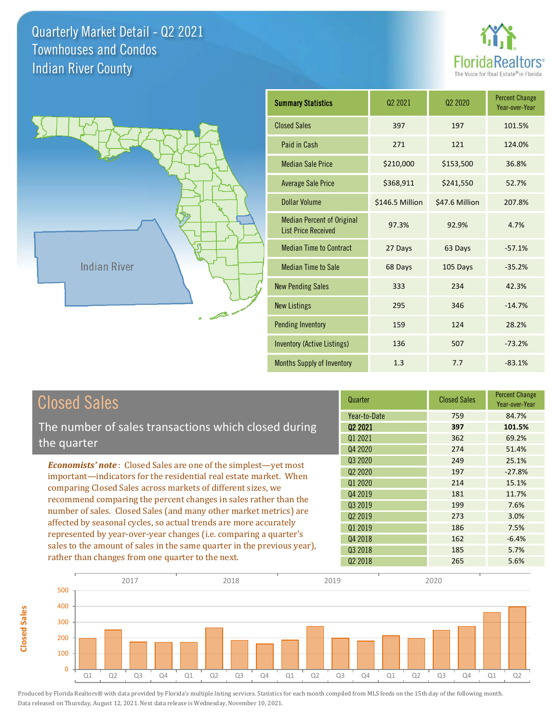**Closed Sales**

**Closed Sales** 





| <b>Summary Statistics</b>                                       | 02 2021         | 02 2020        | <b>Percent Change</b><br>Year-over-Year |
|-----------------------------------------------------------------|-----------------|----------------|-----------------------------------------|
| <b>Closed Sales</b>                                             | 397             | 197            | 101.5%                                  |
| Paid in Cash                                                    | 271             | 121            | 124.0%                                  |
| <b>Median Sale Price</b>                                        | \$210,000       | \$153,500      | 36.8%                                   |
| <b>Average Sale Price</b>                                       | \$368,911       | \$241,550      | 52.7%                                   |
| Dollar Volume                                                   | \$146.5 Million | \$47.6 Million | 207.8%                                  |
| <b>Median Percent of Original</b><br><b>List Price Received</b> | 97.3%           | 92.9%          | 4.7%                                    |
| <b>Median Time to Contract</b>                                  | 27 Days         | 63 Days        | $-57.1%$                                |
| <b>Median Time to Sale</b>                                      | 68 Days         | 105 Days       | $-35.2%$                                |
| <b>New Pending Sales</b>                                        | 333             | 234            | 42.3%                                   |
| <b>New Listings</b>                                             | 295             | 346            | $-14.7%$                                |
| <b>Pending Inventory</b>                                        | 159             | 124            | 28.2%                                   |
| <b>Inventory (Active Listings)</b>                              | 136             | 507            | $-73.2%$                                |
| Months Supply of Inventory                                      | 1.3             | 7.7            | $-83.1%$                                |

| <b>Closed Sales</b>                                                                                                                                                                                                                                                        | Quarter             | <b>Closed Sales</b> | <b>Percent Change</b><br>Year-over-Year |
|----------------------------------------------------------------------------------------------------------------------------------------------------------------------------------------------------------------------------------------------------------------------------|---------------------|---------------------|-----------------------------------------|
|                                                                                                                                                                                                                                                                            | Year-to-Date        | 759                 | 84.7%                                   |
| The number of sales transactions which closed during                                                                                                                                                                                                                       | 02 2021             | 397                 | 101.5%                                  |
| the quarter                                                                                                                                                                                                                                                                | 01 2021             | 362                 | 69.2%                                   |
|                                                                                                                                                                                                                                                                            | Q4 2020             | 274                 | 51.4%                                   |
| <b>Economists' note:</b> Closed Sales are one of the simplest—yet most                                                                                                                                                                                                     | Q3 2020             | 249                 | 25.1%                                   |
| important—indicators for the residential real estate market. When<br>comparing Closed Sales across markets of different sizes, we<br>recommend comparing the percent changes in sales rather than the<br>number of sales. Closed Sales (and many other market metrics) are | Q <sub>2</sub> 2020 | 197                 | $-27.8%$                                |
|                                                                                                                                                                                                                                                                            | Q1 2020             | 214                 | 15.1%                                   |
|                                                                                                                                                                                                                                                                            | Q4 2019             | 181                 | 11.7%                                   |
|                                                                                                                                                                                                                                                                            | 03 2019             | 199                 | 7.6%                                    |
|                                                                                                                                                                                                                                                                            | 02 2019             | 273                 | 3.0%                                    |
| affected by seasonal cycles, so actual trends are more accurately                                                                                                                                                                                                          | Q1 2019             | 186                 | 7.5%                                    |
| represented by year-over-year changes (i.e. comparing a quarter's                                                                                                                                                                                                          | Q4 2018             | 162                 | $-6.4%$                                 |
| sales to the amount of sales in the same quarter in the previous year),                                                                                                                                                                                                    | 03 2018             | 185                 | 5.7%                                    |
| rather than changes from one quarter to the next.                                                                                                                                                                                                                          | 02 2018             | 265                 | 5.6%                                    |

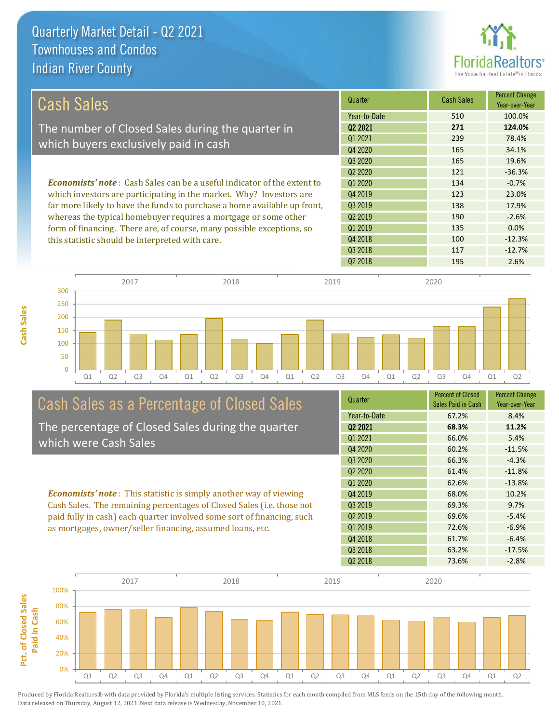

| <b>Cash Sales</b>                                                              | Quarter             | <b>Cash Sales</b> | <b>Percent Change</b><br>Year-over-Year |
|--------------------------------------------------------------------------------|---------------------|-------------------|-----------------------------------------|
|                                                                                | Year-to-Date        | 510               | 100.0%                                  |
| The number of Closed Sales during the quarter in                               | 02 2021             | 271               | 124.0%                                  |
|                                                                                | 01 2021             | 239               | 78.4%                                   |
| which buyers exclusively paid in cash                                          | Q4 2020             | 165               | 34.1%                                   |
|                                                                                | Q3 2020             | 165               | 19.6%                                   |
|                                                                                | 02 2020             | 121               | $-36.3%$                                |
| <b>Economists' note:</b> Cash Sales can be a useful indicator of the extent to | Q1 2020             | 134               | $-0.7%$                                 |
| which investors are participating in the market. Why? Investors are            | Q4 2019             | 123               | 23.0%                                   |
| far more likely to have the funds to purchase a home available up front,       | Q3 2019             | 138               | 17.9%                                   |
| whereas the typical homebuyer requires a mortgage or some other                | Q <sub>2</sub> 2019 | 190               | $-2.6%$                                 |
| form of financing. There are, of course, many possible exceptions, so          | Q1 2019             | 135               | 0.0%                                    |
| this statistic should be interpreted with care.                                | Q4 2018             | 100               | $-12.3%$                                |
|                                                                                | Q3 2018             | 117               | $-12.7%$                                |



# Cash Sales as a Percentage of Closed Sales

The percentage of Closed Sales during the quarter which were Cash Sales

*Economists' note* : This statistic is simply another way of viewing Cash Sales. The remaining percentages of Closed Sales (i.e. those not paid fully in cash) each quarter involved some sort of financing, such as mortgages, owner/seller financing, assumed loans, etc.

| Quarter                         | <b>Percent of Closed</b><br>Sales Paid in Cash | <b>Percent Change</b><br>Year-over-Year |
|---------------------------------|------------------------------------------------|-----------------------------------------|
| Year-to-Date                    | 67.2%                                          | 8.4%                                    |
| 02 2021                         | 68.3%                                          | 11.2%                                   |
| Q1 2021                         | 66.0%                                          | 5.4%                                    |
| Q4 2020                         | 60.2%                                          | $-11.5%$                                |
| 03 2020                         | 66.3%                                          | $-4.3%$                                 |
| Q <sub>2</sub> 20 <sub>20</sub> | 61.4%                                          | $-11.8%$                                |
| 01 2020                         | 62.6%                                          | $-13.8%$                                |
| Q4 2019                         | 68.0%                                          | 10.2%                                   |
| Q3 2019                         | 69.3%                                          | 9.7%                                    |
| Q <sub>2</sub> 2019             | 69.6%                                          | $-5.4%$                                 |
| 01 2019                         | 72.6%                                          | $-6.9%$                                 |
| Q4 2018                         | 61.7%                                          | $-6.4%$                                 |
| Q3 2018                         | 63.2%                                          | $-17.5%$                                |
| Q <sub>2</sub> 2018             | 73.6%                                          | $-2.8%$                                 |
|                                 |                                                |                                         |

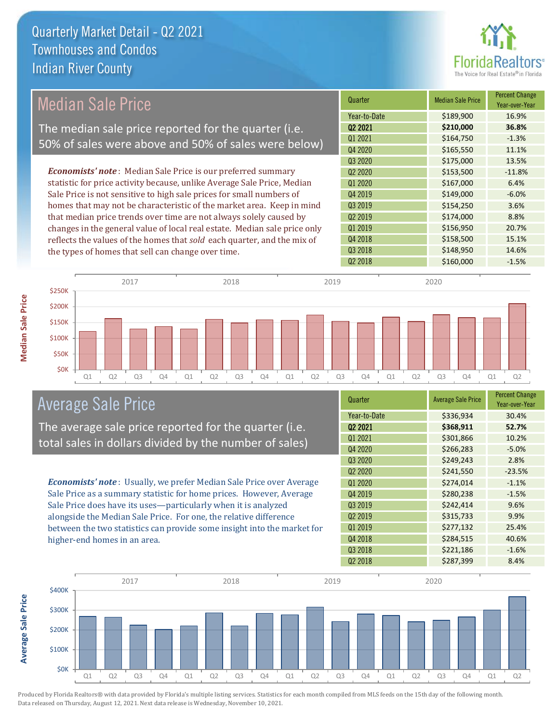

## Median Sale Price

The median sale price reported for the quarter (i.e. 50% of sales were above and 50% of sales were below)

*Economists' note* : Median Sale Price is our preferred summary statistic for price activity because, unlike Average Sale Price, Median Sale Price is not sensitive to high sale prices for small numbers of homes that may not be characteristic of the market area. Keep in mind that median price trends over time are not always solely caused by changes in the general value of local real estate. Median sale price only reflects the values of the homes that *sold* each quarter, and the mix of the types of homes that sell can change over time.

| Quarter                         | <b>Median Sale Price</b> | <b>Percent Change</b><br>Year-over-Year |
|---------------------------------|--------------------------|-----------------------------------------|
| Year-to-Date                    | \$189,900                | 16.9%                                   |
| Q2 2021                         | \$210,000                | 36.8%                                   |
| Q1 2021                         | \$164,750                | $-1.3%$                                 |
| Q4 2020                         | \$165,550                | 11.1%                                   |
| Q3 2020                         | \$175,000                | 13.5%                                   |
| Q <sub>2</sub> 20 <sub>20</sub> | \$153,500                | $-11.8%$                                |
| Q1 2020                         | \$167,000                | 6.4%                                    |
| Q4 2019                         | \$149,000                | $-6.0%$                                 |
| Q3 2019                         | \$154,250                | 3.6%                                    |
| Q <sub>2</sub> 2019             | \$174,000                | 8.8%                                    |
| Q1 2019                         | \$156,950                | 20.7%                                   |
| Q4 2018                         | \$158,500                | 15.1%                                   |
| Q3 2018                         | \$148,950                | 14.6%                                   |
| Q <sub>2</sub> 2018             | \$160,000                | $-1.5%$                                 |



### Average Sale Price

The average sale price reported for the quarter (i.e. total sales in dollars divided by the number of sales)

*Economists' note* : Usually, we prefer Median Sale Price over Average Sale Price as a summary statistic for home prices. However, Average Sale Price does have its uses—particularly when it is analyzed alongside the Median Sale Price. For one, the relative difference between the two statistics can provide some insight into the market for higher-end homes in an area.

| <b>Average Sale Price</b> | <b>Percent Change</b><br>Year-over-Year |
|---------------------------|-----------------------------------------|
| \$336,934                 | 30.4%                                   |
| \$368,911                 | 52.7%                                   |
| \$301,866                 | 10.2%                                   |
| \$266,283                 | $-5.0%$                                 |
| \$249,243                 | 2.8%                                    |
| \$241,550                 | $-23.5%$                                |
| \$274,014                 | $-1.1%$                                 |
| \$280,238                 | $-1.5%$                                 |
| \$242,414                 | 9.6%                                    |
| \$315,733                 | 9.9%                                    |
| \$277,132                 | 25.4%                                   |
| \$284,515                 | 40.6%                                   |
| \$221,186                 | $-1.6%$                                 |
| \$287,399                 | 8.4%                                    |
|                           |                                         |



Produced by Florida Realtors® with data provided by Florida's multiple listing services. Statistics for each month compiled from MLS feeds on the 15th day of the following month. Data released on Thursday, August 12, 2021. Next data release is Wednesday, November 10, 2021.

**Average Sale Price**

Average Sale Price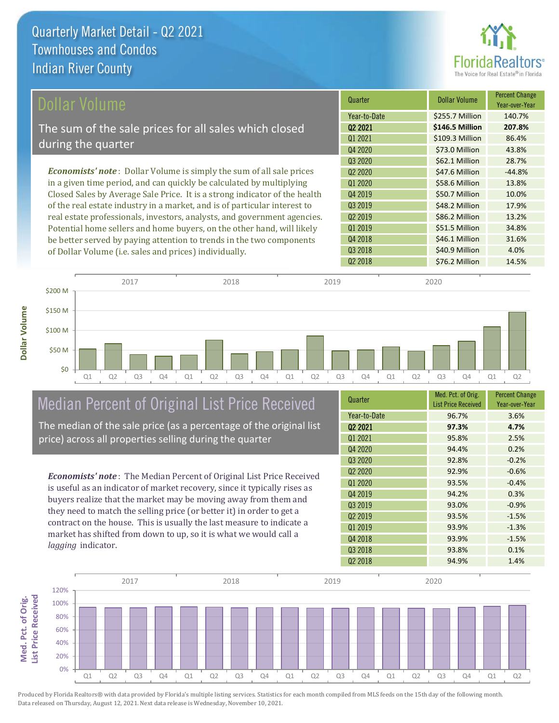

| Dollar Volume                                                                | Quarter                         | <b>Dollar Volume</b> | <b>Percent Change</b><br>Year-over-Year |
|------------------------------------------------------------------------------|---------------------------------|----------------------|-----------------------------------------|
|                                                                              | Year-to-Date                    | \$255.7 Million      | 140.7%                                  |
| The sum of the sale prices for all sales which closed                        | 02 2021                         | \$146.5 Million      | 207.8%                                  |
|                                                                              | Q1 2021                         | \$109.3 Million      | 86.4%                                   |
| during the quarter                                                           | Q4 2020                         | \$73.0 Million       | 43.8%                                   |
|                                                                              | Q3 2020                         | \$62.1 Million       | 28.7%                                   |
| <b>Economists' note</b> : Dollar Volume is simply the sum of all sale prices | Q <sub>2</sub> 20 <sub>20</sub> | \$47.6 Million       | $-44.8%$                                |
| in a given time period, and can quickly be calculated by multiplying         | 01 2020                         | \$58.6 Million       | 13.8%                                   |
| Closed Sales by Average Sale Price. It is a strong indicator of the health   | 04 2019                         | \$50.7 Million       | 10.0%                                   |
| of the real estate industry in a market, and is of particular interest to    | Q3 2019                         | \$48.2 Million       | 17.9%                                   |
| real estate professionals, investors, analysts, and government agencies.     | Q <sub>2</sub> 2019             | \$86.2 Million       | 13.2%                                   |
| Potential home sellers and home buyers, on the other hand, will likely       | Q1 2019                         | \$51.5 Million       | 34.8%                                   |
| be better served by paying attention to trends in the two components         | Q4 2018                         | \$46.1 Million       | 31.6%                                   |
| of Dollar Volume (i.e. sales and prices) individually                        | Q3 2018                         | \$40.9 Million       | 4.0%                                    |



# Median Percent of Original List Price Received

of Dollar Volume (i.e. sales and prices) individually.

The median of the sale price (as a percentage of the original list price) across all properties selling during the quarter

*Economists' note* : The Median Percent of Original List Price Received is useful as an indicator of market recovery, since it typically rises as buyers realize that the market may be moving away from them and they need to match the selling price (or better it) in order to get a contract on the house. This is usually the last measure to indicate a market has shifted from down to up, so it is what we would call a *lagging* indicator.

| Quarter                         | Med. Pct. of Orig.<br><b>List Price Received</b> | <b>Percent Change</b><br>Year-over-Year |
|---------------------------------|--------------------------------------------------|-----------------------------------------|
| Year-to-Date                    | 96.7%                                            | 3.6%                                    |
| Q <sub>2</sub> 2021             | 97.3%                                            | 4.7%                                    |
| 01 2021                         | 95.8%                                            | 2.5%                                    |
| Q4 2020                         | 94.4%                                            | 0.2%                                    |
| Q3 2020                         | 92.8%                                            | $-0.2%$                                 |
| Q <sub>2</sub> 20 <sub>20</sub> | 92.9%                                            | $-0.6%$                                 |
| Q1 2020                         | 93.5%                                            | $-0.4%$                                 |
| Q4 2019                         | 94.2%                                            | 0.3%                                    |
| Q3 2019                         | 93.0%                                            | $-0.9%$                                 |
| Q <sub>2</sub> 2019             | 93.5%                                            | $-1.5%$                                 |
| Q1 2019                         | 93.9%                                            | $-1.3%$                                 |
| Q4 2018                         | 93.9%                                            | $-1.5%$                                 |
| Q <sub>3</sub> 2018             | 93.8%                                            | 0.1%                                    |
| Q <sub>2</sub> 2018             | 94.9%                                            | 1.4%                                    |

Q2 2018 **\$76.2 Million 14.5%** 

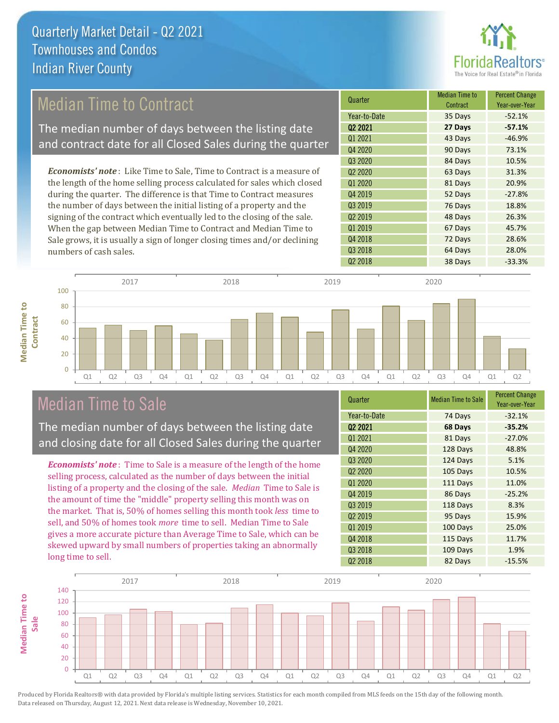

## Median Time to Contract

The median number of days between the listing date and contract date for all Closed Sales during the quarter

*Economists' note* : Like Time to Sale, Time to Contract is a measure of the length of the home selling process calculated for sales which closed during the quarter. The difference is that Time to Contract measures the number of days between the initial listing of a property and the signing of the contract which eventually led to the closing of the sale. When the gap between Median Time to Contract and Median Time to Sale grows, it is usually a sign of longer closing times and/or declining numbers of cash sales.





### Median Time to Sale

**Median Time to** 

**Median Time to** 

The median number of days between the listing date and closing date for all Closed Sales during the quarter

*Economists' note* : Time to Sale is a measure of the length of the home selling process, calculated as the number of days between the initial listing of a property and the closing of the sale. *Median* Time to Sale is the amount of time the "middle" property selling this month was on the market. That is, 50% of homes selling this month took *less* time to sell, and 50% of homes took *more* time to sell. Median Time to Sale gives a more accurate picture than Average Time to Sale, which can be skewed upward by small numbers of properties taking an abnormally long time to sell.

| Quarter                         | <b>Median Time to Sale</b> | <b>Percent Change</b><br>Year-over-Year |
|---------------------------------|----------------------------|-----------------------------------------|
| Year-to-Date                    | 74 Days                    | $-32.1%$                                |
| Q2 2021                         | 68 Days                    | $-35.2%$                                |
| Q1 2021                         | 81 Days                    | $-27.0%$                                |
| Q4 2020                         | 128 Days                   | 48.8%                                   |
| Q3 2020                         | 124 Days                   | 5.1%                                    |
| Q <sub>2</sub> 20 <sub>20</sub> | 105 Days                   | 10.5%                                   |
| Q1 2020                         | 111 Days                   | 11.0%                                   |
| Q4 2019                         | 86 Days                    | $-25.2%$                                |
| Q3 2019                         | 118 Days                   | 8.3%                                    |
| Q <sub>2</sub> 2019             | 95 Days                    | 15.9%                                   |
| Q1 2019                         | 100 Days                   | 25.0%                                   |
| Q4 2018                         | 115 Days                   | 11.7%                                   |
| Q3 2018                         | 109 Days                   | 1.9%                                    |
| Q <sub>2</sub> 2018             | 82 Days                    | $-15.5%$                                |

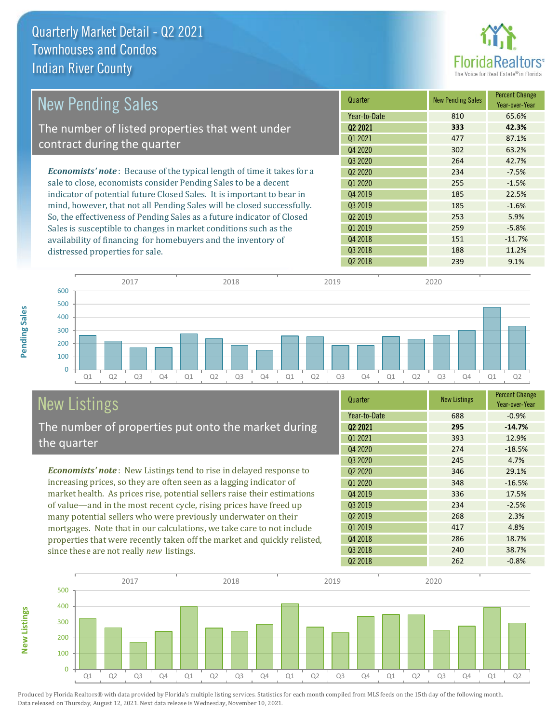

| <b>New Pending Sales</b>                                                      | Quarter             | <b>New Pending Sales</b> | <b>Percent Change</b><br>Year-over-Year |
|-------------------------------------------------------------------------------|---------------------|--------------------------|-----------------------------------------|
|                                                                               | Year-to-Date        | 810                      | 65.6%                                   |
| The number of listed properties that went under                               | Q <sub>2</sub> 2021 | 333                      | 42.3%                                   |
|                                                                               | 01 2021             | 477                      | 87.1%                                   |
| contract during the quarter                                                   | Q4 2020             | 302                      | 63.2%                                   |
|                                                                               | Q3 2020             | 264                      | 42.7%                                   |
| <b>Economists' note:</b> Because of the typical length of time it takes for a | Q <sub>2</sub> 2020 | 234                      | $-7.5%$                                 |
| sale to close, economists consider Pending Sales to be a decent               | 01 2020             | 255                      | $-1.5%$                                 |
| indicator of potential future Closed Sales. It is important to bear in        | Q4 2019             | 185                      | 22.5%                                   |
| mind, however, that not all Pending Sales will be closed successfully.        | 03 2019             | 185                      | $-1.6%$                                 |
| So, the effectiveness of Pending Sales as a future indicator of Closed        | Q <sub>2</sub> 2019 | 253                      | 5.9%                                    |
| Sales is susceptible to changes in market conditions such as the              | Q1 2019             | 259                      | $-5.8%$                                 |
| availability of financing for homebuyers and the inventory of                 | Q4 2018             | 151                      | $-11.7%$                                |
| distressed properties for sale.                                               | Q3 2018             | 188                      | 11.2%                                   |
|                                                                               | Q <sub>2</sub> 2018 | 239                      | 9.1%                                    |



# New Listings

The number of properties put onto the market during the quarter

*Economists' note* : New Listings tend to rise in delayed response to increasing prices, so they are often seen as a lagging indicator of market health. As prices rise, potential sellers raise their estimations of value—and in the most recent cycle, rising prices have freed up many potential sellers who were previously underwater on their mortgages. Note that in our calculations, we take care to not include properties that were recently taken off the market and quickly relisted, since these are not really *new* listings.

| Quarter                         | <b>New Listings</b> | <b>Percent Change</b><br>Year-over-Year |
|---------------------------------|---------------------|-----------------------------------------|
| Year-to-Date                    | 688                 | $-0.9%$                                 |
| 02 2021                         | 295                 | $-14.7%$                                |
| Q1 2021                         | 393                 | 12.9%                                   |
| Q4 2020                         | 274                 | $-18.5%$                                |
| 03 2020                         | 245                 | 4.7%                                    |
| Q <sub>2</sub> 20 <sub>20</sub> | 346                 | 29.1%                                   |
| Q1 2020                         | 348                 | $-16.5%$                                |
| Q4 2019                         | 336                 | 17.5%                                   |
| Q3 2019                         | 234                 | $-2.5%$                                 |
| Q <sub>2</sub> 2019             | 268                 | 2.3%                                    |
| Q1 2019                         | 417                 | 4.8%                                    |
| Q4 2018                         | 286                 | 18.7%                                   |
| Q3 2018                         | 240                 | 38.7%                                   |
| Q <sub>2</sub> 2018             | 262                 | $-0.8%$                                 |



**Pending Sales**

Pending Sales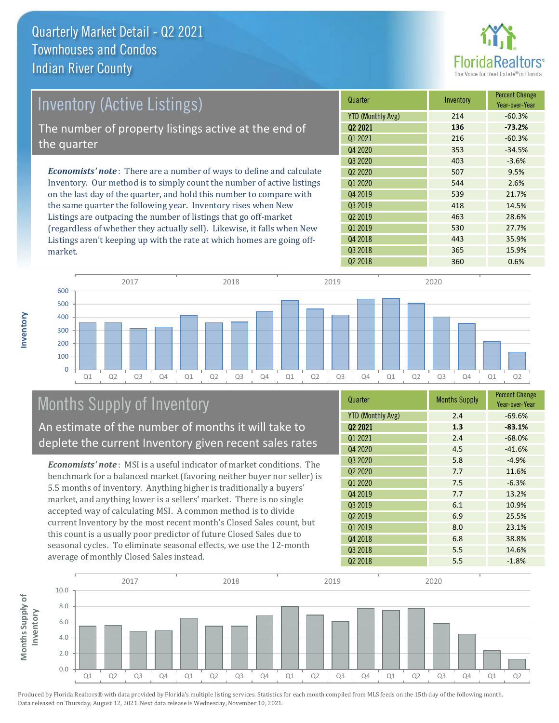

| <b>Inventory (Active Listings)</b>                                           | Quarter             | Inventory | <b>Percent Change</b><br>Year-over-Year |
|------------------------------------------------------------------------------|---------------------|-----------|-----------------------------------------|
|                                                                              | YTD (Monthly Avg)   | 214       | $-60.3%$                                |
| The number of property listings active at the end of                         | 02 2021             | 136       | $-73.2%$                                |
| the quarter                                                                  | 01 2021             | 216       | $-60.3%$                                |
|                                                                              | Q4 2020             | 353       | $-34.5%$                                |
|                                                                              | Q3 2020             | 403       | $-3.6%$                                 |
| <b>Economists' note</b> : There are a number of ways to define and calculate | 02 2020             | 507       | 9.5%                                    |
| Inventory. Our method is to simply count the number of active listings       | Q1 2020             | 544       | 2.6%                                    |
| on the last day of the quarter, and hold this number to compare with         | Q4 2019             | 539       | 21.7%                                   |
| the same quarter the following year. Inventory rises when New                | Q3 2019             | 418       | 14.5%                                   |
| Listings are outpacing the number of listings that go off-market             | Q <sub>2</sub> 2019 | 463       | 28.6%                                   |
| (regardless of whether they actually sell). Likewise, it falls when New      | Q1 2019             | 530       | 27.7%                                   |

Q1 Q2 Q3 Q4 Q1 Q2 Q3 Q4 Q1 Q2 Q3 Q4 Q1 Q2 Q3 Q4 Q1 Q2  $\overline{0}$ 100 200 300 400 500 600 2017 2018 2019 2020

# Months Supply of Inventory

An estimate of the number of months it will take to deplete the current Inventory given recent sales rates

Listings aren't keeping up with the rate at which homes are going off-

*Economists' note* : MSI is a useful indicator of market conditions. The benchmark for a balanced market (favoring neither buyer nor seller) is 5.5 months of inventory. Anything higher is traditionally a buyers' market, and anything lower is a sellers' market. There is no single accepted way of calculating MSI. A common method is to divide current Inventory by the most recent month's Closed Sales count, but this count is a usually poor predictor of future Closed Sales due to seasonal cycles. To eliminate seasonal effects, we use the 12-month average of monthly Closed Sales instead.

| Quarter                         | <b>Months Supply</b> | <b>Percent Change</b><br>Year-over-Year |
|---------------------------------|----------------------|-----------------------------------------|
| <b>YTD (Monthly Avg)</b>        | 2.4                  | $-69.6%$                                |
| 02 2021                         | 1.3                  | $-83.1%$                                |
| Q1 2021                         | 2.4                  | $-68.0%$                                |
| Q4 2020                         | 4.5                  | $-41.6%$                                |
| 03 2020                         | 5.8                  | $-4.9%$                                 |
| Q <sub>2</sub> 20 <sub>20</sub> | 7.7                  | 11.6%                                   |
| Q1 2020                         | 7.5                  | $-6.3%$                                 |
| Q4 2019                         | 7.7                  | 13.2%                                   |
| Q3 2019                         | 6.1                  | 10.9%                                   |
| Q <sub>2</sub> 2019             | 6.9                  | 25.5%                                   |
| Q1 2019                         | 8.0                  | 23.1%                                   |
| Q4 2018                         | 6.8                  | 38.8%                                   |
| Q3 2018                         | 5.5                  | 14.6%                                   |
| Q <sub>2</sub> 2018             | 5.5                  | $-1.8%$                                 |

Q2 2018 200 360 0.6%

Q4 2018 **443** 35.9% Q3 2018 365 15.9%



Produced by Florida Realtors® with data provided by Florida's multiple listing services. Statistics for each month compiled from MLS feeds on the 15th day of the following month. Data released on Thursday, August 12, 2021. Next data release is Wednesday, November 10, 2021.

market.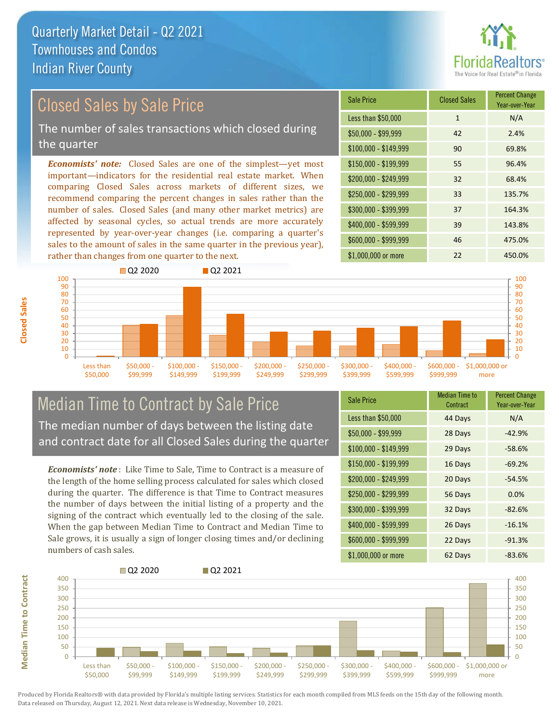

# Closed Sales by Sale Price

The number of sales transactions which closed during the quarter

*Economists' note:* Closed Sales are one of the simplest—yet most important—indicators for the residential real estate market. When comparing Closed Sales across markets of different sizes, we recommend comparing the percent changes in sales rather than the number of sales. Closed Sales (and many other market metrics) are affected by seasonal cycles, so actual trends are more accurately represented by year-over-year changes (i.e. comparing a quarter's sales to the amount of sales in the same quarter in the previous year), rather than changes from one quarter to the next.

| <b>Sale Price</b>     | <b>Closed Sales</b> | <b>Percent Change</b><br>Year-over-Year |
|-----------------------|---------------------|-----------------------------------------|
| Less than \$50,000    | $\mathbf{1}$        | N/A                                     |
| $$50,000 - $99,999$   | 42                  | 2.4%                                    |
| $$100,000 - $149,999$ | 90                  | 69.8%                                   |
| $$150,000 - $199,999$ | 55                  | 96.4%                                   |
| \$200,000 - \$249,999 | 32                  | 68.4%                                   |
| \$250,000 - \$299,999 | 33                  | 135.7%                                  |
| \$300,000 - \$399,999 | 37                  | 164.3%                                  |
| \$400,000 - \$599,999 | 39                  | 143.8%                                  |
| \$600,000 - \$999,999 | 46                  | 475.0%                                  |
| \$1,000,000 or more   | 22                  | 450.0%                                  |



### Median Time to Contract by Sale Price The median number of days between the listing date and contract date for all Closed Sales during the quarter

*Economists' note* : Like Time to Sale, Time to Contract is a measure of the length of the home selling process calculated for sales which closed during the quarter. The difference is that Time to Contract measures the number of days between the initial listing of a property and the signing of the contract which eventually led to the closing of the sale. When the gap between Median Time to Contract and Median Time to Sale grows, it is usually a sign of longer closing times and/or declining numbers of cash sales.

| <b>Sale Price</b>     | Median Time to<br>Contract | <b>Percent Change</b><br>Year-over-Year |
|-----------------------|----------------------------|-----------------------------------------|
| Less than \$50,000    | 44 Days                    | N/A                                     |
| $$50,000 - $99,999$   | 28 Days                    | $-42.9%$                                |
| $$100,000 - $149,999$ | 29 Days                    | $-58.6%$                                |
| $$150,000 - $199,999$ | 16 Days                    | $-69.2%$                                |
| \$200,000 - \$249,999 | 20 Days                    | $-54.5%$                                |
| \$250,000 - \$299,999 | 56 Days                    | 0.0%                                    |
| \$300,000 - \$399,999 | 32 Days                    | $-82.6%$                                |
| \$400,000 - \$599,999 | 26 Days                    | $-16.1%$                                |
| \$600,000 - \$999,999 | 22 Days                    | $-91.3%$                                |
| \$1,000,000 or more   | 62 Days                    | $-83.6%$                                |

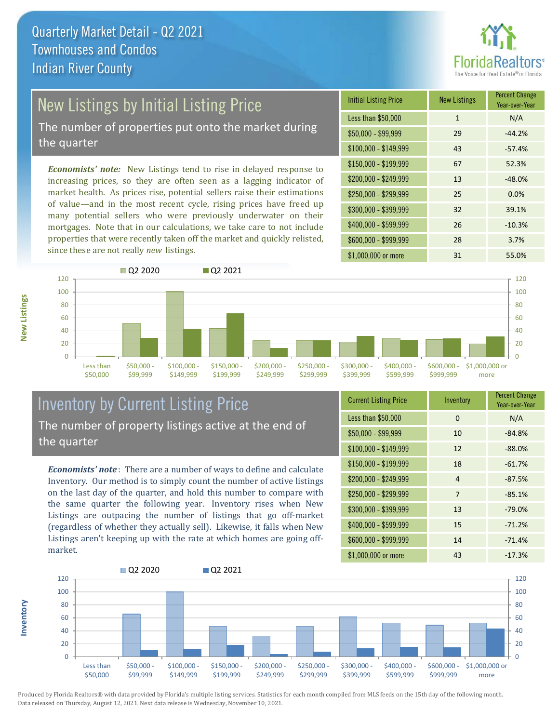

# New Listings by Initial Listing Price

The number of properties put onto the market during the quarter

*Economists' note:* New Listings tend to rise in delayed response to increasing prices, so they are often seen as a lagging indicator of market health. As prices rise, potential sellers raise their estimations of value—and in the most recent cycle, rising prices have freed up many potential sellers who were previously underwater on their mortgages. Note that in our calculations, we take care to not include properties that were recently taken off the market and quickly relisted, since these are not really *new* listings.

| <b>Initial Listing Price</b> | <b>New Listings</b> | <b>Percent Change</b><br>Year-over-Year |
|------------------------------|---------------------|-----------------------------------------|
| Less than \$50,000           | $\mathbf{1}$        | N/A                                     |
| $$50,000 - $99,999$          | 29                  | $-44.2%$                                |
| $$100,000 - $149,999$        | 43                  | $-57.4%$                                |
| $$150,000 - $199,999$        | 67                  | 52.3%                                   |
| \$200,000 - \$249,999        | 13                  | $-48.0%$                                |
| \$250,000 - \$299,999        | 25                  | 0.0%                                    |
| \$300,000 - \$399,999        | 32                  | 39.1%                                   |
| \$400,000 - \$599,999        | 26                  | $-10.3%$                                |
| \$600,000 - \$999,999        | 28                  | 3.7%                                    |
| \$1,000,000 or more          | 31                  | 55.0%                                   |



### Inventory by Current Listing Price The number of property listings active at the end of the quarter

*Economists' note* : There are a number of ways to define and calculate Inventory. Our method is to simply count the number of active listings on the last day of the quarter, and hold this number to compare with the same quarter the following year. Inventory rises when New Listings are outpacing the number of listings that go off-market (regardless of whether they actually sell). Likewise, it falls when New Listings aren't keeping up with the rate at which homes are going offmarket.

| <b>Current Listing Price</b> | Inventory      | <b>Percent Change</b><br>Year-over-Year |
|------------------------------|----------------|-----------------------------------------|
| Less than \$50,000           | $\Omega$       | N/A                                     |
| $$50,000 - $99,999$          | 10             | $-84.8%$                                |
| $$100,000 - $149,999$        | 12             | $-88.0%$                                |
| $$150,000 - $199,999$        | 18             | $-61.7%$                                |
| \$200,000 - \$249,999        | $\overline{4}$ | $-87.5%$                                |
| \$250,000 - \$299,999        | 7              | $-85.1%$                                |
| \$300,000 - \$399,999        | 13             | $-79.0%$                                |
| \$400,000 - \$599,999        | 15             | $-71.2%$                                |
| \$600,000 - \$999,999        | 14             | $-71.4%$                                |
| \$1,000,000 or more          | 43             | $-17.3%$                                |



Produced by Florida Realtors® with data provided by Florida's multiple listing services. Statistics for each month compiled from MLS feeds on the 15th day of the following month. Data released on Thursday, August 12, 2021. Next data release is Wednesday, November 10, 2021.

**Inventory**